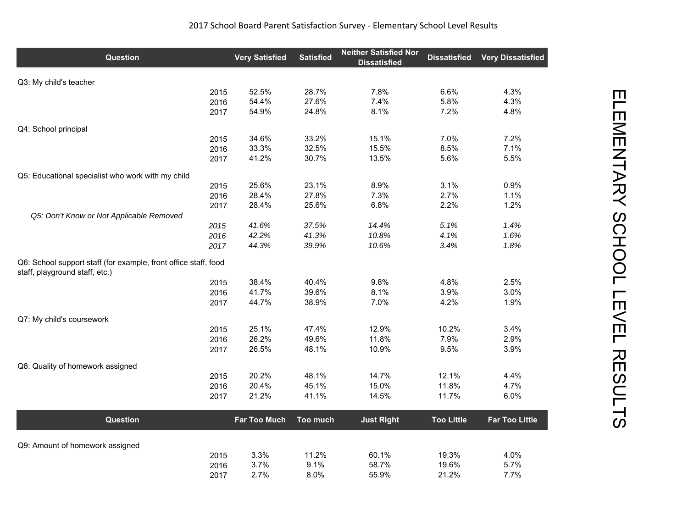| <b>Question</b>                                                                                   | <b>Very Satisfied</b> | <b>Satisfied</b> | <b>Neither Satisfied Nor</b><br><b>Dissatisfied</b> | <b>Dissatisfied</b> | <b>Very Dissatisfied</b> |
|---------------------------------------------------------------------------------------------------|-----------------------|------------------|-----------------------------------------------------|---------------------|--------------------------|
| Q3: My child's teacher                                                                            |                       |                  |                                                     |                     |                          |
| 2015                                                                                              | 52.5%                 | 28.7%            | 7.8%                                                | 6.6%                | 4.3%                     |
| 2016                                                                                              | 54.4%                 | 27.6%            | 7.4%                                                | 5.8%                | 4.3%                     |
| 2017                                                                                              | 54.9%                 | 24.8%            | 8.1%                                                | 7.2%                | 4.8%                     |
| Q4: School principal                                                                              |                       |                  |                                                     |                     |                          |
| 2015                                                                                              | 34.6%                 | 33.2%            | 15.1%                                               | 7.0%                | 7.2%                     |
| 2016                                                                                              | 33.3%                 | 32.5%            | 15.5%                                               | 8.5%                | 7.1%                     |
| 2017                                                                                              | 41.2%                 | 30.7%            | 13.5%                                               | 5.6%                | 5.5%                     |
| Q5: Educational specialist who work with my child                                                 |                       |                  |                                                     |                     |                          |
| 2015                                                                                              | 25.6%                 | 23.1%            | 8.9%                                                | 3.1%                | 0.9%                     |
| 2016                                                                                              | 28.4%                 | 27.8%            | 7.3%                                                | 2.7%                | 1.1%                     |
| 2017<br>Q5: Don't Know or Not Applicable Removed                                                  | 28.4%                 | 25.6%            | 6.8%                                                | 2.2%                | 1.2%                     |
| 2015                                                                                              | 41.6%                 | 37.5%            | 14.4%                                               | 5.1%                | 1.4%                     |
| 2016                                                                                              | 42.2%                 | 41.3%            | 10.8%                                               | 4.1%                | 1.6%                     |
| 2017                                                                                              | 44.3%                 | 39.9%            | 10.6%                                               | 3.4%                | 1.8%                     |
| Q6: School support staff (for example, front office staff, food<br>staff, playground staff, etc.) |                       |                  |                                                     |                     |                          |
| 2015                                                                                              | 38.4%                 | 40.4%            | 9.8%                                                | 4.8%                | 2.5%                     |
| 2016                                                                                              | 41.7%                 | 39.6%            | 8.1%                                                | 3.9%                | 3.0%                     |
| 2017                                                                                              | 44.7%                 | 38.9%            | 7.0%                                                | 4.2%                | 1.9%                     |
| Q7: My child's coursework                                                                         |                       |                  |                                                     |                     |                          |
| 2015                                                                                              | 25.1%                 | 47.4%            | 12.9%                                               | 10.2%               | 3.4%                     |
| 2016                                                                                              | 26.2%                 | 49.6%            | 11.8%                                               | 7.9%                | 2.9%                     |
| 2017                                                                                              | 26.5%                 | 48.1%            | 10.9%                                               | 9.5%                | 3.9%                     |
| Q8: Quality of homework assigned                                                                  |                       |                  |                                                     |                     |                          |
| 2015                                                                                              | 20.2%                 | 48.1%            | 14.7%                                               | 12.1%               | 4.4%                     |
| 2016                                                                                              | 20.4%                 | 45.1%            | 15.0%                                               | 11.8%               | 4.7%                     |
| 2017                                                                                              | 21.2%                 | 41.1%            | 14.5%                                               | 11.7%               | 6.0%                     |
| <b>Question</b>                                                                                   | <b>Far Too Much</b>   | Too much         | <b>Just Right</b>                                   | <b>Too Little</b>   | <b>Far Too Little</b>    |
|                                                                                                   |                       |                  |                                                     |                     |                          |
| Q9: Amount of homework assigned                                                                   | 3.3%                  | 11.2%            | 60.1%                                               | 19.3%               | 4.0%                     |
| 2015<br>2016                                                                                      | 3.7%                  | 9.1%             | 58.7%                                               | 19.6%               | 5.7%                     |
| 2017                                                                                              | 2.7%                  | 8.0%             | 55.9%                                               | 21.2%               | 7.7%                     |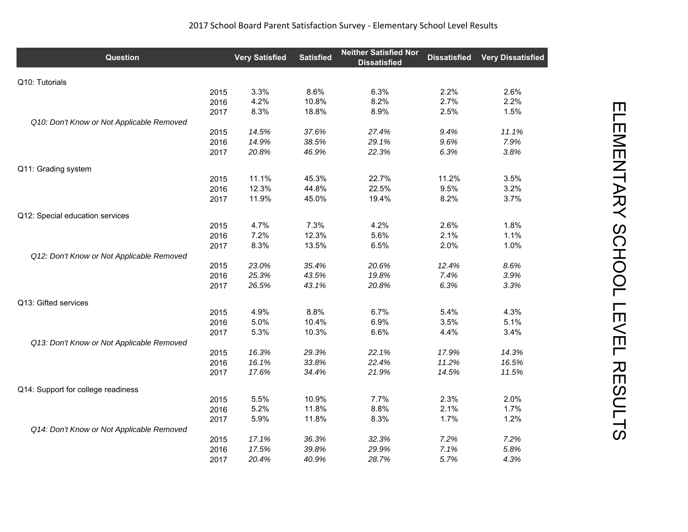| <b>Question</b>                           |      | <b>Very Satisfied</b> | <b>Satisfied</b> | <b>Neither Satisfied Nor</b><br><b>Dissatisfied</b> | <b>Dissatisfied</b> | <b>Very Dissatisfied</b> |
|-------------------------------------------|------|-----------------------|------------------|-----------------------------------------------------|---------------------|--------------------------|
| Q10: Tutorials                            |      |                       |                  |                                                     |                     |                          |
|                                           | 2015 | 3.3%                  | 8.6%             | 6.3%                                                | 2.2%                | 2.6%                     |
|                                           | 2016 | 4.2%                  | 10.8%            | 8.2%                                                | 2.7%                | 2.2%                     |
|                                           | 2017 | 8.3%                  | 18.8%            | 8.9%                                                | 2.5%                | 1.5%                     |
| Q10: Don't Know or Not Applicable Removed |      |                       |                  |                                                     |                     |                          |
|                                           | 2015 | 14.5%                 | 37.6%            | 27.4%                                               | 9.4%                | 11.1%                    |
|                                           | 2016 | 14.9%                 | 38.5%            | 29.1%                                               | 9.6%                | 7.9%                     |
|                                           | 2017 | 20.8%                 | 46.9%            | 22.3%                                               | 6.3%                | 3.8%                     |
| Q11: Grading system                       |      |                       |                  |                                                     |                     |                          |
|                                           | 2015 | 11.1%                 | 45.3%            | 22.7%                                               | 11.2%               | 3.5%                     |
|                                           | 2016 | 12.3%                 | 44.8%            | 22.5%                                               | 9.5%                | 3.2%                     |
|                                           | 2017 | 11.9%                 | 45.0%            | 19.4%                                               | 8.2%                | 3.7%                     |
| Q12: Special education services           |      |                       |                  |                                                     |                     |                          |
|                                           | 2015 | 4.7%                  | 7.3%             | 4.2%                                                | 2.6%                | 1.8%                     |
|                                           | 2016 | 7.2%                  | 12.3%            | 5.6%                                                | 2.1%                | 1.1%                     |
|                                           | 2017 | 8.3%                  | 13.5%            | 6.5%                                                | 2.0%                | 1.0%                     |
| Q12: Don't Know or Not Applicable Removed |      |                       |                  |                                                     |                     |                          |
|                                           | 2015 | 23.0%                 | 35.4%            | 20.6%                                               | 12.4%               | 8.6%                     |
|                                           | 2016 | 25.3%                 | 43.5%            | 19.8%                                               | 7.4%                | 3.9%                     |
|                                           | 2017 | 26.5%                 | 43.1%            | 20.8%                                               | 6.3%                | 3.3%                     |
| Q13: Gifted services                      |      |                       |                  |                                                     |                     |                          |
|                                           | 2015 | 4.9%                  | 8.8%             | 6.7%                                                | 5.4%                | 4.3%                     |
|                                           | 2016 | 5.0%                  | 10.4%            | 6.9%                                                | 3.5%                | 5.1%                     |
|                                           | 2017 | 5.3%                  | 10.3%            | 6.6%                                                | 4.4%                | 3.4%                     |
| Q13: Don't Know or Not Applicable Removed |      |                       |                  |                                                     |                     |                          |
|                                           | 2015 | 16.3%                 | 29.3%            | 22.1%                                               | 17.9%               | 14.3%                    |
|                                           | 2016 | 16.1%                 | 33.8%            | 22.4%                                               | 11.2%               | 16.5%                    |
|                                           | 2017 | 17.6%                 | 34.4%            | 21.9%                                               | 14.5%               | 11.5%                    |
| Q14: Support for college readiness        |      |                       |                  |                                                     |                     |                          |
|                                           | 2015 | 5.5%                  | 10.9%            | 7.7%                                                | 2.3%                | 2.0%                     |
|                                           | 2016 | 5.2%                  | 11.8%            | 8.8%                                                | 2.1%                | 1.7%                     |
|                                           | 2017 | 5.9%                  | 11.8%            | 8.3%                                                | 1.7%                | 1.2%                     |
| Q14: Don't Know or Not Applicable Removed |      |                       |                  |                                                     |                     |                          |
|                                           | 2015 | 17.1%                 | 36.3%            | 32.3%                                               | 7.2%                | 7.2%                     |
|                                           | 2016 | 17.5%                 | 39.8%            | 29.9%                                               | 7.1%                | 5.8%                     |
|                                           | 2017 | 20.4%                 | 40.9%            | 28.7%                                               | 5.7%                | 4.3%                     |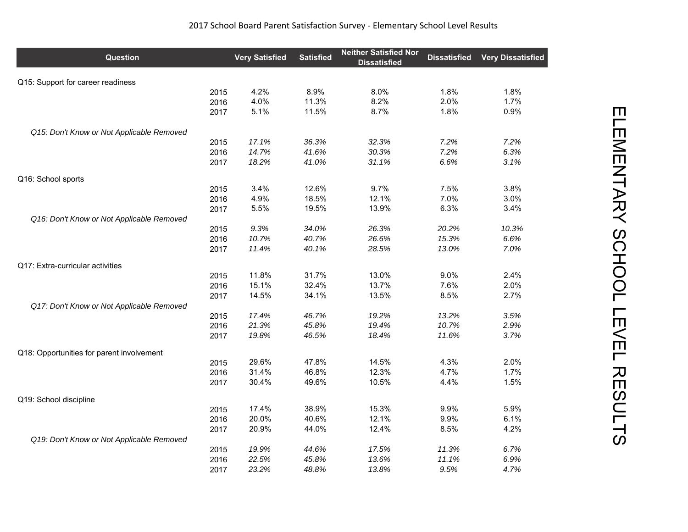| <b>Question</b>                           |      | <b>Very Satisfied</b> | <b>Satisfied</b> | <b>Neither Satisfied Nor</b><br><b>Dissatisfied</b> | <b>Dissatisfied</b> | <b>Very Dissatisfied</b> |
|-------------------------------------------|------|-----------------------|------------------|-----------------------------------------------------|---------------------|--------------------------|
| Q15: Support for career readiness         |      |                       |                  |                                                     |                     |                          |
|                                           | 2015 | 4.2%                  | 8.9%             | 8.0%                                                | 1.8%                | 1.8%                     |
|                                           | 2016 | 4.0%                  | 11.3%            | 8.2%                                                | 2.0%                | 1.7%                     |
|                                           | 2017 | 5.1%                  | 11.5%            | 8.7%                                                | 1.8%                | 0.9%                     |
| Q15: Don't Know or Not Applicable Removed |      |                       |                  |                                                     |                     |                          |
|                                           | 2015 | 17.1%                 | 36.3%            | 32.3%                                               | 7.2%                | 7.2%                     |
|                                           | 2016 | 14.7%                 | 41.6%            | 30.3%                                               | 7.2%                | 6.3%                     |
|                                           | 2017 | 18.2%                 | 41.0%            | 31.1%                                               | 6.6%                | 3.1%                     |
| Q16: School sports                        |      |                       |                  |                                                     |                     |                          |
|                                           | 2015 | 3.4%                  | 12.6%            | 9.7%                                                | 7.5%                | 3.8%                     |
|                                           | 2016 | 4.9%                  | 18.5%            | 12.1%                                               | 7.0%                | 3.0%                     |
|                                           | 2017 | 5.5%                  | 19.5%            | 13.9%                                               | 6.3%                | 3.4%                     |
| Q16: Don't Know or Not Applicable Removed |      |                       |                  |                                                     |                     |                          |
|                                           | 2015 | 9.3%                  | 34.0%            | 26.3%                                               | 20.2%               | 10.3%                    |
|                                           | 2016 | 10.7%                 | 40.7%            | 26.6%                                               | 15.3%               | 6.6%                     |
|                                           | 2017 | 11.4%                 | 40.1%            | 28.5%                                               | 13.0%               | 7.0%                     |
| Q17: Extra-curricular activities          |      |                       |                  |                                                     |                     |                          |
|                                           | 2015 | 11.8%                 | 31.7%            | 13.0%                                               | 9.0%                | 2.4%                     |
|                                           | 2016 | 15.1%                 | 32.4%            | 13.7%                                               | 7.6%                | 2.0%                     |
|                                           | 2017 | 14.5%                 | 34.1%            | 13.5%                                               | 8.5%                | 2.7%                     |
| Q17: Don't Know or Not Applicable Removed |      |                       |                  |                                                     |                     |                          |
|                                           | 2015 | 17.4%                 | 46.7%            | 19.2%                                               | 13.2%               | 3.5%                     |
|                                           | 2016 | 21.3%                 | 45.8%            | 19.4%                                               | 10.7%               | 2.9%                     |
|                                           | 2017 | 19.8%                 | 46.5%            | 18.4%                                               | 11.6%               | 3.7%                     |
| Q18: Opportunities for parent involvement |      |                       |                  |                                                     |                     |                          |
|                                           | 2015 | 29.6%                 | 47.8%            | 14.5%                                               | 4.3%                | 2.0%                     |
|                                           | 2016 | 31.4%                 | 46.8%            | 12.3%                                               | 4.7%                | 1.7%                     |
|                                           | 2017 | 30.4%                 | 49.6%            | 10.5%                                               | 4.4%                | 1.5%                     |
| Q19: School discipline                    |      |                       |                  |                                                     |                     |                          |
|                                           | 2015 | 17.4%                 | 38.9%            | 15.3%                                               | 9.9%                | 5.9%                     |
|                                           | 2016 | 20.0%                 | 40.6%            | 12.1%                                               | 9.9%                | 6.1%                     |
|                                           | 2017 | 20.9%                 | 44.0%            | 12.4%                                               | 8.5%                | 4.2%                     |
| Q19: Don't Know or Not Applicable Removed |      |                       |                  |                                                     |                     |                          |
|                                           | 2015 | 19.9%                 | 44.6%            | 17.5%                                               | 11.3%               | 6.7%                     |
|                                           | 2016 | 22.5%                 | 45.8%            | 13.6%                                               | 11.1%               | 6.9%                     |
|                                           | 2017 | 23.2%                 | 48.8%            | 13.8%                                               | 9.5%                | 4.7%                     |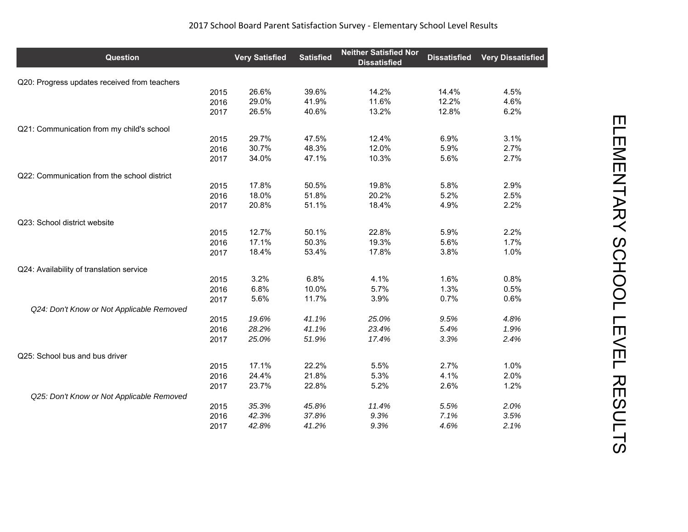| <b>Question</b>                              |      | <b>Very Satisfied</b> | <b>Satisfied</b> | <b>Neither Satisfied Nor</b><br><b>Dissatisfied</b> | <b>Dissatisfied</b> | <b>Very Dissatisfied</b> |
|----------------------------------------------|------|-----------------------|------------------|-----------------------------------------------------|---------------------|--------------------------|
| Q20: Progress updates received from teachers |      |                       |                  |                                                     |                     |                          |
|                                              | 2015 | 26.6%                 | 39.6%            | 14.2%                                               | 14.4%               | 4.5%                     |
|                                              | 2016 | 29.0%                 | 41.9%            | 11.6%                                               | 12.2%               | 4.6%                     |
|                                              | 2017 | 26.5%                 | 40.6%            | 13.2%                                               | 12.8%               | 6.2%                     |
| Q21: Communication from my child's school    |      |                       |                  |                                                     |                     |                          |
|                                              | 2015 | 29.7%                 | 47.5%            | 12.4%                                               | 6.9%                | 3.1%                     |
|                                              | 2016 | 30.7%                 | 48.3%            | 12.0%                                               | 5.9%                | 2.7%                     |
|                                              | 2017 | 34.0%                 | 47.1%            | 10.3%                                               | 5.6%                | 2.7%                     |
| Q22: Communication from the school district  |      |                       |                  |                                                     |                     |                          |
|                                              | 2015 | 17.8%                 | 50.5%            | 19.8%                                               | 5.8%                | 2.9%                     |
|                                              | 2016 | 18.0%                 | 51.8%            | 20.2%                                               | 5.2%                | 2.5%                     |
|                                              | 2017 | 20.8%                 | 51.1%            | 18.4%                                               | 4.9%                | 2.2%                     |
| Q23: School district website                 |      |                       |                  |                                                     |                     |                          |
|                                              | 2015 | 12.7%                 | 50.1%            | 22.8%                                               | 5.9%                | 2.2%                     |
|                                              | 2016 | 17.1%                 | 50.3%            | 19.3%                                               | 5.6%                | 1.7%                     |
|                                              | 2017 | 18.4%                 | 53.4%            | 17.8%                                               | 3.8%                | 1.0%                     |
| Q24: Availability of translation service     |      |                       |                  |                                                     |                     |                          |
|                                              | 2015 | 3.2%                  | 6.8%             | 4.1%                                                | 1.6%                | 0.8%                     |
|                                              | 2016 | 6.8%                  | 10.0%            | 5.7%                                                | 1.3%                | 0.5%                     |
|                                              | 2017 | 5.6%                  | 11.7%            | 3.9%                                                | 0.7%                | 0.6%                     |
| Q24: Don't Know or Not Applicable Removed    |      |                       |                  |                                                     |                     |                          |
|                                              | 2015 | 19.6%                 | 41.1%            | 25.0%                                               | 9.5%                | 4.8%                     |
|                                              | 2016 | 28.2%                 | 41.1%            | 23.4%                                               | 5.4%                | 1.9%                     |
|                                              | 2017 | 25.0%                 | 51.9%            | 17.4%                                               | 3.3%                | 2.4%                     |
| Q25: School bus and bus driver               |      |                       |                  |                                                     |                     |                          |
|                                              | 2015 | 17.1%                 | 22.2%            | 5.5%                                                | 2.7%                | 1.0%                     |
|                                              | 2016 | 24.4%                 | 21.8%            | 5.3%                                                | 4.1%                | 2.0%                     |
|                                              | 2017 | 23.7%                 | 22.8%            | 5.2%                                                | 2.6%                | 1.2%                     |
| Q25: Don't Know or Not Applicable Removed    |      |                       |                  |                                                     |                     |                          |
|                                              | 2015 | 35.3%                 | 45.8%            | 11.4%                                               | 5.5%                | 2.0%                     |
|                                              | 2016 | 42.3%                 | 37.8%            | 9.3%                                                | 7.1%                | 3.5%                     |
|                                              | 2017 | 42.8%                 | 41.2%            | 9.3%                                                | 4.6%                | 2.1%                     |